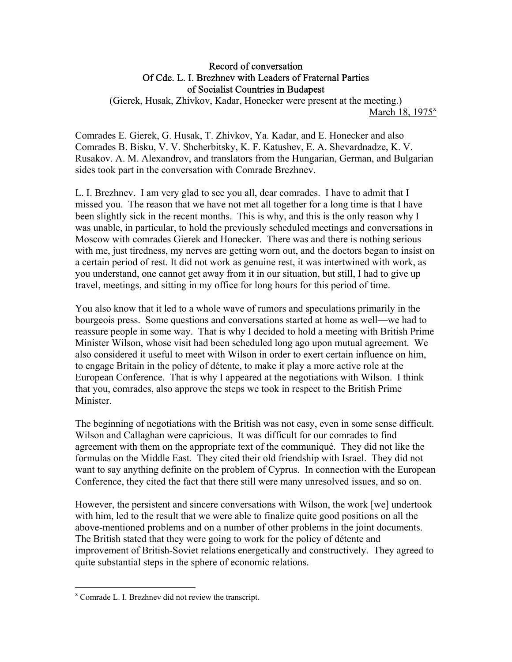## Record of conversation Of Cde. L. I. Brezhnev with Leaders of Fraternal Parties of Socialist Countries in Budapest

(Gierek, Husak, Zhivkov, Kadar, Honecker were present at the meeting.) March 18,  $1975^x$ 

Comrades E. Gierek, G. Husak, T. Zhivkov, Ya. Kadar, and E. Honecker and also Comrades B. Bisku, V. V. Shcherbitsky, K. F. Katushev, E. A. Shevardnadze, K. V. Rusakov. A. M. Alexandrov, and translators from the Hungarian, German, and Bulgarian sides took part in the conversation with Comrade Brezhnev.

L. I. Brezhnev. I am very glad to see you all, dear comrades. I have to admit that I missed you. The reason that we have not met all together for a long time is that I have been slightly sick in the recent months. This is why, and this is the only reason why I was unable, in particular, to hold the previously scheduled meetings and conversations in Moscow with comrades Gierek and Honecker. There was and there is nothing serious with me, just tiredness, my nerves are getting worn out, and the doctors began to insist on a certain period of rest. It did not work as genuine rest, it was intertwined with work, as you understand, one cannot get away from it in our situation, but still, I had to give up travel, meetings, and sitting in my office for long hours for this period of time.

You also know that it led to a whole wave of rumors and speculations primarily in the bourgeois press. Some questions and conversations started at home as well—we had to reassure people in some way. That is why I decided to hold a meeting with British Prime Minister Wilson, whose visit had been scheduled long ago upon mutual agreement. We also considered it useful to meet with Wilson in order to exert certain influence on him, to engage Britain in the policy of détente, to make it play a more active role at the European Conference. That is why I appeared at the negotiations with Wilson. I think that you, comrades, also approve the steps we took in respect to the British Prime Minister.

The beginning of negotiations with the British was not easy, even in some sense difficult. Wilson and Callaghan were capricious. It was difficult for our comrades to find agreement with them on the appropriate text of the communiqué. They did not like the formulas on the Middle East. They cited their old friendship with Israel. They did not want to say anything definite on the problem of Cyprus. In connection with the European Conference, they cited the fact that there still were many unresolved issues, and so on.

However, the persistent and sincere conversations with Wilson, the work [we] undertook with him, led to the result that we were able to finalize quite good positions on all the above-mentioned problems and on a number of other problems in the joint documents. The British stated that they were going to work for the policy of détente and improvement of British-Soviet relations energetically and constructively. They agreed to quite substantial steps in the sphere of economic relations.

 $\overline{a}$ 

x Comrade L. I. Brezhnev did not review the transcript.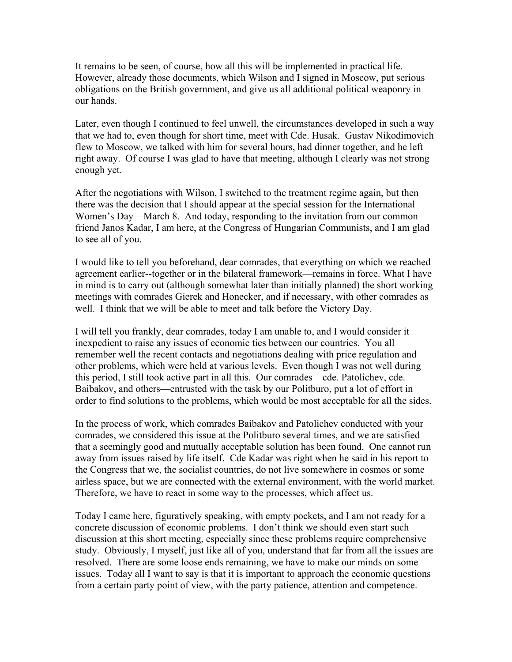It remains to be seen, of course, how all this will be implemented in practical life. However, already those documents, which Wilson and I signed in Moscow, put serious obligations on the British government, and give us all additional political weaponry in our hands.

Later, even though I continued to feel unwell, the circumstances developed in such a way that we had to, even though for short time, meet with Cde. Husak. Gustav Nikodimovich flew to Moscow, we talked with him for several hours, had dinner together, and he left right away. Of course I was glad to have that meeting, although I clearly was not strong enough yet.

After the negotiations with Wilson, I switched to the treatment regime again, but then there was the decision that I should appear at the special session for the International Women's Day—March 8. And today, responding to the invitation from our common friend Janos Kadar, I am here, at the Congress of Hungarian Communists, and I am glad to see all of you.

I would like to tell you beforehand, dear comrades, that everything on which we reached agreement earlier--together or in the bilateral framework—remains in force. What I have in mind is to carry out (although somewhat later than initially planned) the short working meetings with comrades Gierek and Honecker, and if necessary, with other comrades as well. I think that we will be able to meet and talk before the Victory Day.

I will tell you frankly, dear comrades, today I am unable to, and I would consider it inexpedient to raise any issues of economic ties between our countries. You all remember well the recent contacts and negotiations dealing with price regulation and other problems, which were held at various levels. Even though I was not well during this period, I still took active part in all this. Our comrades—cde. Patolichev, cde. Baibakov, and others—entrusted with the task by our Politburo, put a lot of effort in order to find solutions to the problems, which would be most acceptable for all the sides.

In the process of work, which comrades Baibakov and Patolichev conducted with your comrades, we considered this issue at the Politburo several times, and we are satisfied that a seemingly good and mutually acceptable solution has been found. One cannot run away from issues raised by life itself. Cde Kadar was right when he said in his report to the Congress that we, the socialist countries, do not live somewhere in cosmos or some airless space, but we are connected with the external environment, with the world market. Therefore, we have to react in some way to the processes, which affect us.

Today I came here, figuratively speaking, with empty pockets, and I am not ready for a concrete discussion of economic problems. I don't think we should even start such discussion at this short meeting, especially since these problems require comprehensive study. Obviously, I myself, just like all of you, understand that far from all the issues are resolved. There are some loose ends remaining, we have to make our minds on some issues. Today all I want to say is that it is important to approach the economic questions from a certain party point of view, with the party patience, attention and competence.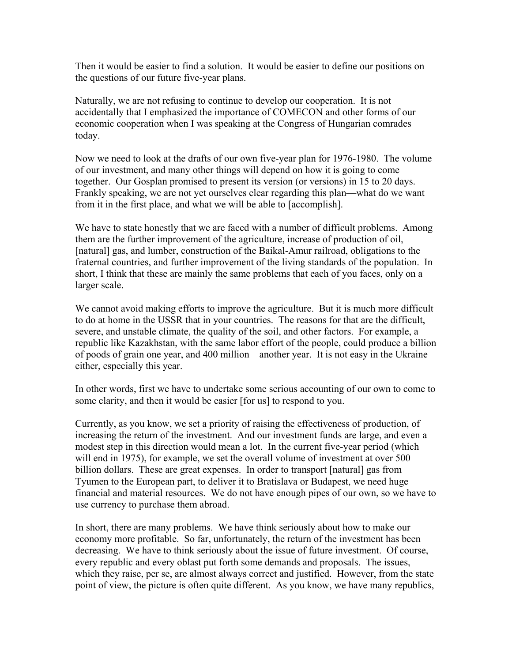Then it would be easier to find a solution. It would be easier to define our positions on the questions of our future five-year plans.

Naturally, we are not refusing to continue to develop our cooperation. It is not accidentally that I emphasized the importance of COMECON and other forms of our economic cooperation when I was speaking at the Congress of Hungarian comrades today.

Now we need to look at the drafts of our own five-year plan for 1976-1980. The volume of our investment, and many other things will depend on how it is going to come together. Our Gosplan promised to present its version (or versions) in 15 to 20 days. Frankly speaking, we are not yet ourselves clear regarding this plan—what do we want from it in the first place, and what we will be able to [accomplish].

We have to state honestly that we are faced with a number of difficult problems. Among them are the further improvement of the agriculture, increase of production of oil, [natural] gas, and lumber, construction of the Baikal-Amur railroad, obligations to the fraternal countries, and further improvement of the living standards of the population. In short, I think that these are mainly the same problems that each of you faces, only on a larger scale.

We cannot avoid making efforts to improve the agriculture. But it is much more difficult to do at home in the USSR that in your countries. The reasons for that are the difficult, severe, and unstable climate, the quality of the soil, and other factors. For example, a republic like Kazakhstan, with the same labor effort of the people, could produce a billion of poods of grain one year, and 400 million—another year. It is not easy in the Ukraine either, especially this year.

In other words, first we have to undertake some serious accounting of our own to come to some clarity, and then it would be easier [for us] to respond to you.

Currently, as you know, we set a priority of raising the effectiveness of production, of increasing the return of the investment. And our investment funds are large, and even a modest step in this direction would mean a lot. In the current five-year period (which will end in 1975), for example, we set the overall volume of investment at over 500 billion dollars. These are great expenses. In order to transport [natural] gas from Tyumen to the European part, to deliver it to Bratislava or Budapest, we need huge financial and material resources. We do not have enough pipes of our own, so we have to use currency to purchase them abroad.

In short, there are many problems. We have think seriously about how to make our economy more profitable. So far, unfortunately, the return of the investment has been decreasing. We have to think seriously about the issue of future investment. Of course, every republic and every oblast put forth some demands and proposals. The issues, which they raise, per se, are almost always correct and justified. However, from the state point of view, the picture is often quite different. As you know, we have many republics,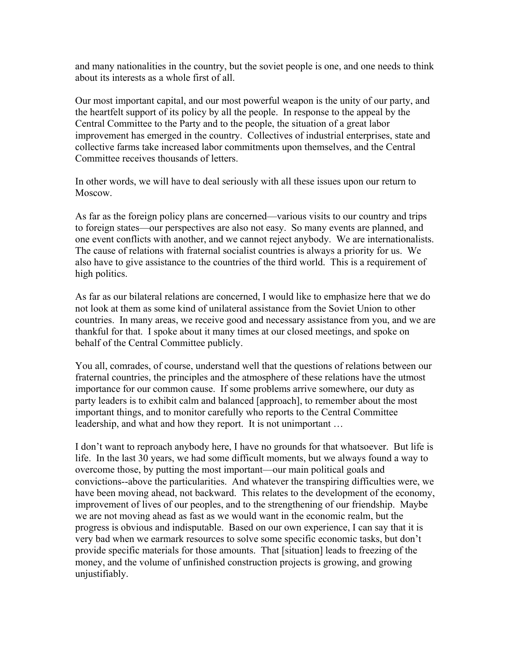and many nationalities in the country, but the soviet people is one, and one needs to think about its interests as a whole first of all.

Our most important capital, and our most powerful weapon is the unity of our party, and the heartfelt support of its policy by all the people. In response to the appeal by the Central Committee to the Party and to the people, the situation of a great labor improvement has emerged in the country. Collectives of industrial enterprises, state and collective farms take increased labor commitments upon themselves, and the Central Committee receives thousands of letters.

In other words, we will have to deal seriously with all these issues upon our return to Moscow.

As far as the foreign policy plans are concerned—various visits to our country and trips to foreign states—our perspectives are also not easy. So many events are planned, and one event conflicts with another, and we cannot reject anybody. We are internationalists. The cause of relations with fraternal socialist countries is always a priority for us. We also have to give assistance to the countries of the third world. This is a requirement of high politics.

As far as our bilateral relations are concerned, I would like to emphasize here that we do not look at them as some kind of unilateral assistance from the Soviet Union to other countries. In many areas, we receive good and necessary assistance from you, and we are thankful for that. I spoke about it many times at our closed meetings, and spoke on behalf of the Central Committee publicly.

You all, comrades, of course, understand well that the questions of relations between our fraternal countries, the principles and the atmosphere of these relations have the utmost importance for our common cause. If some problems arrive somewhere, our duty as party leaders is to exhibit calm and balanced [approach], to remember about the most important things, and to monitor carefully who reports to the Central Committee leadership, and what and how they report. It is not unimportant …

I don't want to reproach anybody here, I have no grounds for that whatsoever. But life is life. In the last 30 years, we had some difficult moments, but we always found a way to overcome those, by putting the most important—our main political goals and convictions--above the particularities. And whatever the transpiring difficulties were, we have been moving ahead, not backward. This relates to the development of the economy, improvement of lives of our peoples, and to the strengthening of our friendship. Maybe we are not moving ahead as fast as we would want in the economic realm, but the progress is obvious and indisputable. Based on our own experience, I can say that it is very bad when we earmark resources to solve some specific economic tasks, but don't provide specific materials for those amounts. That [situation] leads to freezing of the money, and the volume of unfinished construction projects is growing, and growing unjustifiably.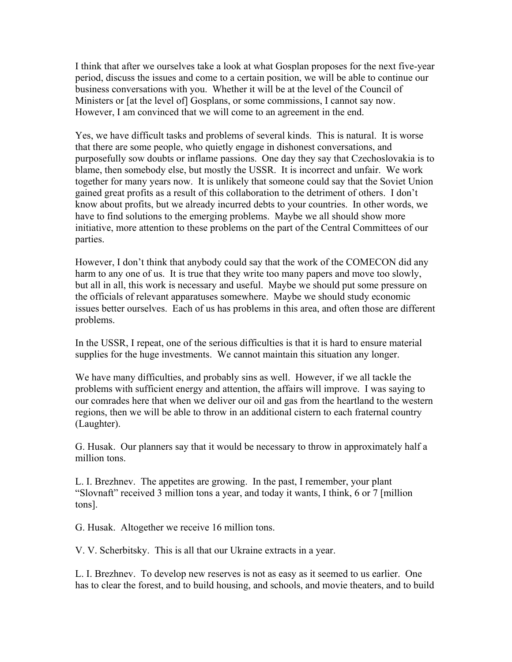I think that after we ourselves take a look at what Gosplan proposes for the next five-year period, discuss the issues and come to a certain position, we will be able to continue our business conversations with you. Whether it will be at the level of the Council of Ministers or [at the level of] Gosplans, or some commissions, I cannot say now. However, I am convinced that we will come to an agreement in the end.

Yes, we have difficult tasks and problems of several kinds. This is natural. It is worse that there are some people, who quietly engage in dishonest conversations, and purposefully sow doubts or inflame passions. One day they say that Czechoslovakia is to blame, then somebody else, but mostly the USSR. It is incorrect and unfair. We work together for many years now. It is unlikely that someone could say that the Soviet Union gained great profits as a result of this collaboration to the detriment of others. I don't know about profits, but we already incurred debts to your countries. In other words, we have to find solutions to the emerging problems. Maybe we all should show more initiative, more attention to these problems on the part of the Central Committees of our parties.

However, I don't think that anybody could say that the work of the COMECON did any harm to any one of us. It is true that they write too many papers and move too slowly, but all in all, this work is necessary and useful. Maybe we should put some pressure on the officials of relevant apparatuses somewhere. Maybe we should study economic issues better ourselves. Each of us has problems in this area, and often those are different problems.

In the USSR, I repeat, one of the serious difficulties is that it is hard to ensure material supplies for the huge investments. We cannot maintain this situation any longer.

We have many difficulties, and probably sins as well. However, if we all tackle the problems with sufficient energy and attention, the affairs will improve. I was saying to our comrades here that when we deliver our oil and gas from the heartland to the western regions, then we will be able to throw in an additional cistern to each fraternal country (Laughter).

G. Husak. Our planners say that it would be necessary to throw in approximately half a million tons.

L. I. Brezhnev. The appetites are growing. In the past, I remember, your plant "Slovnaft" received 3 million tons a year, and today it wants, I think, 6 or 7 [million tons].

G. Husak. Altogether we receive 16 million tons.

V. V. Scherbitsky. This is all that our Ukraine extracts in a year.

L. I. Brezhnev. To develop new reserves is not as easy as it seemed to us earlier. One has to clear the forest, and to build housing, and schools, and movie theaters, and to build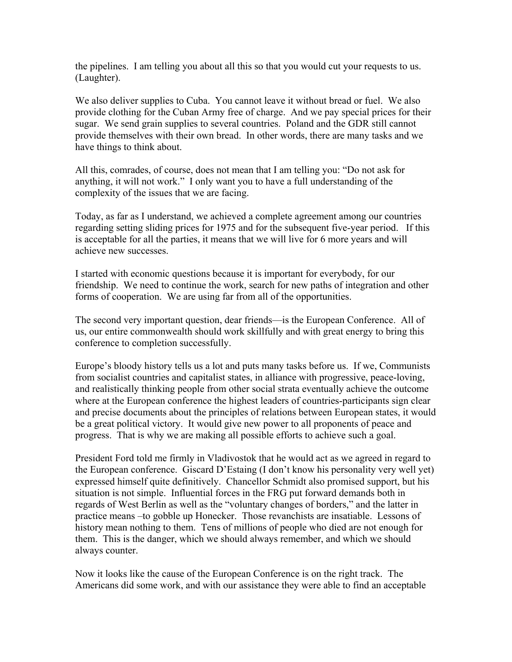the pipelines. I am telling you about all this so that you would cut your requests to us. (Laughter).

We also deliver supplies to Cuba. You cannot leave it without bread or fuel. We also provide clothing for the Cuban Army free of charge. And we pay special prices for their sugar. We send grain supplies to several countries. Poland and the GDR still cannot provide themselves with their own bread. In other words, there are many tasks and we have things to think about.

All this, comrades, of course, does not mean that I am telling you: "Do not ask for anything, it will not work." I only want you to have a full understanding of the complexity of the issues that we are facing.

Today, as far as I understand, we achieved a complete agreement among our countries regarding setting sliding prices for 1975 and for the subsequent five-year period. If this is acceptable for all the parties, it means that we will live for 6 more years and will achieve new successes.

I started with economic questions because it is important for everybody, for our friendship. We need to continue the work, search for new paths of integration and other forms of cooperation. We are using far from all of the opportunities.

The second very important question, dear friends—is the European Conference. All of us, our entire commonwealth should work skillfully and with great energy to bring this conference to completion successfully.

Europe's bloody history tells us a lot and puts many tasks before us. If we, Communists from socialist countries and capitalist states, in alliance with progressive, peace-loving, and realistically thinking people from other social strata eventually achieve the outcome where at the European conference the highest leaders of countries-participants sign clear and precise documents about the principles of relations between European states, it would be a great political victory. It would give new power to all proponents of peace and progress. That is why we are making all possible efforts to achieve such a goal.

President Ford told me firmly in Vladivostok that he would act as we agreed in regard to the European conference. Giscard D'Estaing (I don't know his personality very well yet) expressed himself quite definitively. Chancellor Schmidt also promised support, but his situation is not simple. Influential forces in the FRG put forward demands both in regards of West Berlin as well as the "voluntary changes of borders," and the latter in practice means –to gobble up Honecker. Those revanchists are insatiable. Lessons of history mean nothing to them. Tens of millions of people who died are not enough for them. This is the danger, which we should always remember, and which we should always counter.

Now it looks like the cause of the European Conference is on the right track. The Americans did some work, and with our assistance they were able to find an acceptable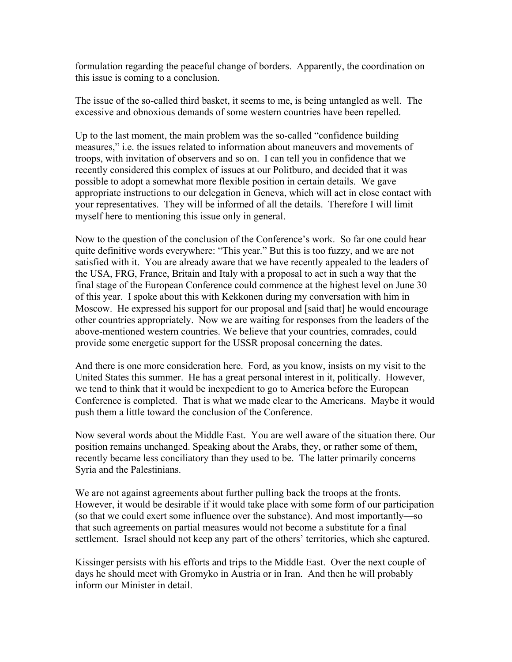formulation regarding the peaceful change of borders. Apparently, the coordination on this issue is coming to a conclusion.

The issue of the so-called third basket, it seems to me, is being untangled as well. The excessive and obnoxious demands of some western countries have been repelled.

Up to the last moment, the main problem was the so-called "confidence building measures," i.e. the issues related to information about maneuvers and movements of troops, with invitation of observers and so on. I can tell you in confidence that we recently considered this complex of issues at our Politburo, and decided that it was possible to adopt a somewhat more flexible position in certain details. We gave appropriate instructions to our delegation in Geneva, which will act in close contact with your representatives. They will be informed of all the details. Therefore I will limit myself here to mentioning this issue only in general.

Now to the question of the conclusion of the Conference's work. So far one could hear quite definitive words everywhere: "This year." But this is too fuzzy, and we are not satisfied with it. You are already aware that we have recently appealed to the leaders of the USA, FRG, France, Britain and Italy with a proposal to act in such a way that the final stage of the European Conference could commence at the highest level on June 30 of this year. I spoke about this with Kekkonen during my conversation with him in Moscow. He expressed his support for our proposal and [said that] he would encourage other countries appropriately. Now we are waiting for responses from the leaders of the above-mentioned western countries. We believe that your countries, comrades, could provide some energetic support for the USSR proposal concerning the dates.

And there is one more consideration here. Ford, as you know, insists on my visit to the United States this summer. He has a great personal interest in it, politically. However, we tend to think that it would be inexpedient to go to America before the European Conference is completed. That is what we made clear to the Americans. Maybe it would push them a little toward the conclusion of the Conference.

Now several words about the Middle East. You are well aware of the situation there. Our position remains unchanged. Speaking about the Arabs, they, or rather some of them, recently became less conciliatory than they used to be. The latter primarily concerns Syria and the Palestinians.

We are not against agreements about further pulling back the troops at the fronts. However, it would be desirable if it would take place with some form of our participation (so that we could exert some influence over the substance). And most importantly—so that such agreements on partial measures would not become a substitute for a final settlement. Israel should not keep any part of the others' territories, which she captured.

Kissinger persists with his efforts and trips to the Middle East. Over the next couple of days he should meet with Gromyko in Austria or in Iran. And then he will probably inform our Minister in detail.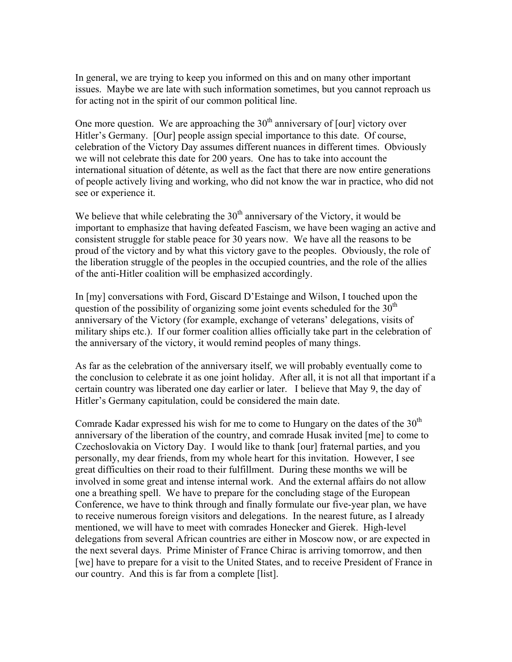In general, we are trying to keep you informed on this and on many other important issues. Maybe we are late with such information sometimes, but you cannot reproach us for acting not in the spirit of our common political line.

One more question. We are approaching the  $30<sup>th</sup>$  anniversary of [our] victory over Hitler's Germany. [Our] people assign special importance to this date. Of course, celebration of the Victory Day assumes different nuances in different times. Obviously we will not celebrate this date for 200 years. One has to take into account the international situation of détente, as well as the fact that there are now entire generations of people actively living and working, who did not know the war in practice, who did not see or experience it.

We believe that while celebrating the  $30<sup>th</sup>$  anniversary of the Victory, it would be important to emphasize that having defeated Fascism, we have been waging an active and consistent struggle for stable peace for 30 years now. We have all the reasons to be proud of the victory and by what this victory gave to the peoples. Obviously, the role of the liberation struggle of the peoples in the occupied countries, and the role of the allies of the anti-Hitler coalition will be emphasized accordingly.

In [my] conversations with Ford, Giscard D'Estainge and Wilson, I touched upon the question of the possibility of organizing some joint events scheduled for the  $30<sup>th</sup>$ anniversary of the Victory (for example, exchange of veterans' delegations, visits of military ships etc.). If our former coalition allies officially take part in the celebration of the anniversary of the victory, it would remind peoples of many things.

As far as the celebration of the anniversary itself, we will probably eventually come to the conclusion to celebrate it as one joint holiday. After all, it is not all that important if a certain country was liberated one day earlier or later. I believe that May 9, the day of Hitler's Germany capitulation, could be considered the main date.

Comrade Kadar expressed his wish for me to come to Hungary on the dates of the  $30<sup>th</sup>$ anniversary of the liberation of the country, and comrade Husak invited [me] to come to Czechoslovakia on Victory Day. I would like to thank [our] fraternal parties, and you personally, my dear friends, from my whole heart for this invitation. However, I see great difficulties on their road to their fulfillment. During these months we will be involved in some great and intense internal work. And the external affairs do not allow one a breathing spell. We have to prepare for the concluding stage of the European Conference, we have to think through and finally formulate our five-year plan, we have to receive numerous foreign visitors and delegations. In the nearest future, as I already mentioned, we will have to meet with comrades Honecker and Gierek. High-level delegations from several African countries are either in Moscow now, or are expected in the next several days. Prime Minister of France Chirac is arriving tomorrow, and then [we] have to prepare for a visit to the United States, and to receive President of France in our country. And this is far from a complete [list].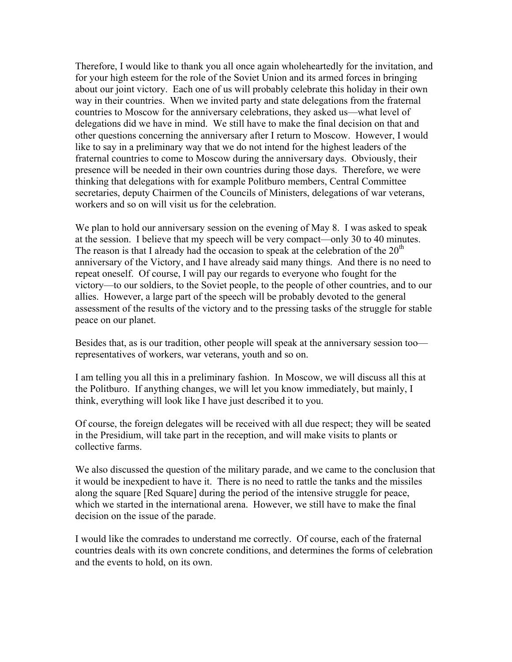Therefore, I would like to thank you all once again wholeheartedly for the invitation, and for your high esteem for the role of the Soviet Union and its armed forces in bringing about our joint victory. Each one of us will probably celebrate this holiday in their own way in their countries. When we invited party and state delegations from the fraternal countries to Moscow for the anniversary celebrations, they asked us—what level of delegations did we have in mind. We still have to make the final decision on that and other questions concerning the anniversary after I return to Moscow. However, I would like to say in a preliminary way that we do not intend for the highest leaders of the fraternal countries to come to Moscow during the anniversary days. Obviously, their presence will be needed in their own countries during those days. Therefore, we were thinking that delegations with for example Politburo members, Central Committee secretaries, deputy Chairmen of the Councils of Ministers, delegations of war veterans, workers and so on will visit us for the celebration.

We plan to hold our anniversary session on the evening of May 8. I was asked to speak at the session. I believe that my speech will be very compact—only 30 to 40 minutes. The reason is that I already had the occasion to speak at the celebration of the  $20<sup>th</sup>$ anniversary of the Victory, and I have already said many things. And there is no need to repeat oneself. Of course, I will pay our regards to everyone who fought for the victory—to our soldiers, to the Soviet people, to the people of other countries, and to our allies. However, a large part of the speech will be probably devoted to the general assessment of the results of the victory and to the pressing tasks of the struggle for stable peace on our planet.

Besides that, as is our tradition, other people will speak at the anniversary session too representatives of workers, war veterans, youth and so on.

I am telling you all this in a preliminary fashion. In Moscow, we will discuss all this at the Politburo. If anything changes, we will let you know immediately, but mainly, I think, everything will look like I have just described it to you.

Of course, the foreign delegates will be received with all due respect; they will be seated in the Presidium, will take part in the reception, and will make visits to plants or collective farms.

We also discussed the question of the military parade, and we came to the conclusion that it would be inexpedient to have it. There is no need to rattle the tanks and the missiles along the square [Red Square] during the period of the intensive struggle for peace, which we started in the international arena. However, we still have to make the final decision on the issue of the parade.

I would like the comrades to understand me correctly. Of course, each of the fraternal countries deals with its own concrete conditions, and determines the forms of celebration and the events to hold, on its own.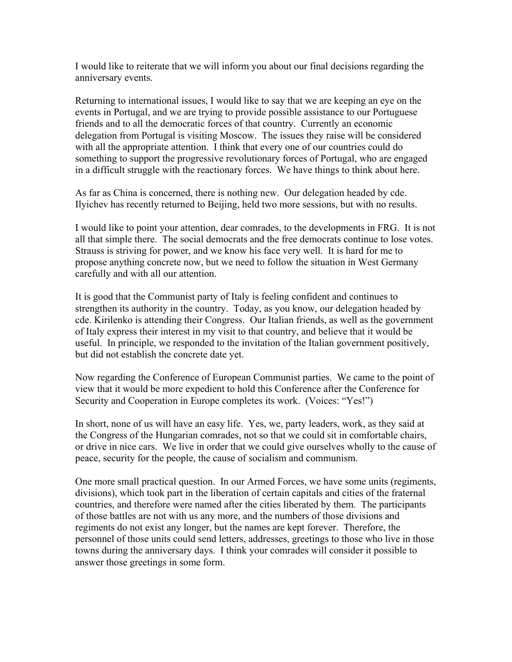I would like to reiterate that we will inform you about our final decisions regarding the anniversary events.

Returning to international issues, I would like to say that we are keeping an eye on the events in Portugal, and we are trying to provide possible assistance to our Portuguese friends and to all the democratic forces of that country. Currently an economic delegation from Portugal is visiting Moscow. The issues they raise will be considered with all the appropriate attention. I think that every one of our countries could do something to support the progressive revolutionary forces of Portugal, who are engaged in a difficult struggle with the reactionary forces. We have things to think about here.

As far as China is concerned, there is nothing new. Our delegation headed by cde. Ilyichev has recently returned to Beijing, held two more sessions, but with no results.

I would like to point your attention, dear comrades, to the developments in FRG. It is not all that simple there. The social democrats and the free democrats continue to lose votes. Strauss is striving for power, and we know his face very well. It is hard for me to propose anything concrete now, but we need to follow the situation in West Germany carefully and with all our attention.

It is good that the Communist party of Italy is feeling confident and continues to strengthen its authority in the country. Today, as you know, our delegation headed by cde. Kirilenko is attending their Congress. Our Italian friends, as well as the government of Italy express their interest in my visit to that country, and believe that it would be useful. In principle, we responded to the invitation of the Italian government positively, but did not establish the concrete date yet.

Now regarding the Conference of European Communist parties. We came to the point of view that it would be more expedient to hold this Conference after the Conference for Security and Cooperation in Europe completes its work. (Voices: "Yes!")

In short, none of us will have an easy life. Yes, we, party leaders, work, as they said at the Congress of the Hungarian comrades, not so that we could sit in comfortable chairs, or drive in nice cars. We live in order that we could give ourselves wholly to the cause of peace, security for the people, the cause of socialism and communism.

One more small practical question. In our Armed Forces, we have some units (regiments, divisions), which took part in the liberation of certain capitals and cities of the fraternal countries, and therefore were named after the cities liberated by them. The participants of those battles are not with us any more, and the numbers of those divisions and regiments do not exist any longer, but the names are kept forever. Therefore, the personnel of those units could send letters, addresses, greetings to those who live in those towns during the anniversary days. I think your comrades will consider it possible to answer those greetings in some form.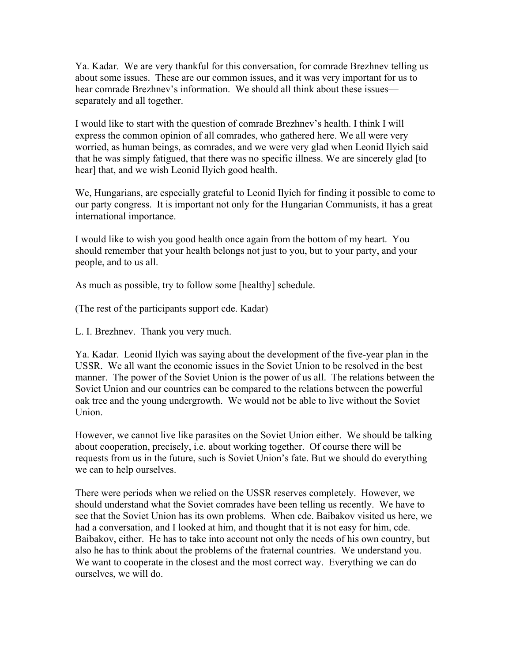Ya. Kadar. We are very thankful for this conversation, for comrade Brezhnev telling us about some issues. These are our common issues, and it was very important for us to hear comrade Brezhnev's information. We should all think about these issues separately and all together.

I would like to start with the question of comrade Brezhnev's health. I think I will express the common opinion of all comrades, who gathered here. We all were very worried, as human beings, as comrades, and we were very glad when Leonid Ilyich said that he was simply fatigued, that there was no specific illness. We are sincerely glad [to hear] that, and we wish Leonid Ilyich good health.

We, Hungarians, are especially grateful to Leonid Ilyich for finding it possible to come to our party congress. It is important not only for the Hungarian Communists, it has a great international importance.

I would like to wish you good health once again from the bottom of my heart. You should remember that your health belongs not just to you, but to your party, and your people, and to us all.

As much as possible, try to follow some [healthy] schedule.

(The rest of the participants support cde. Kadar)

L. I. Brezhnev. Thank you very much.

Ya. Kadar. Leonid Ilyich was saying about the development of the five-year plan in the USSR. We all want the economic issues in the Soviet Union to be resolved in the best manner. The power of the Soviet Union is the power of us all. The relations between the Soviet Union and our countries can be compared to the relations between the powerful oak tree and the young undergrowth. We would not be able to live without the Soviet Union.

However, we cannot live like parasites on the Soviet Union either. We should be talking about cooperation, precisely, i.e. about working together. Of course there will be requests from us in the future, such is Soviet Union's fate. But we should do everything we can to help ourselves.

There were periods when we relied on the USSR reserves completely. However, we should understand what the Soviet comrades have been telling us recently. We have to see that the Soviet Union has its own problems. When cde. Baibakov visited us here, we had a conversation, and I looked at him, and thought that it is not easy for him, cde. Baibakov, either. He has to take into account not only the needs of his own country, but also he has to think about the problems of the fraternal countries. We understand you. We want to cooperate in the closest and the most correct way. Everything we can do ourselves, we will do.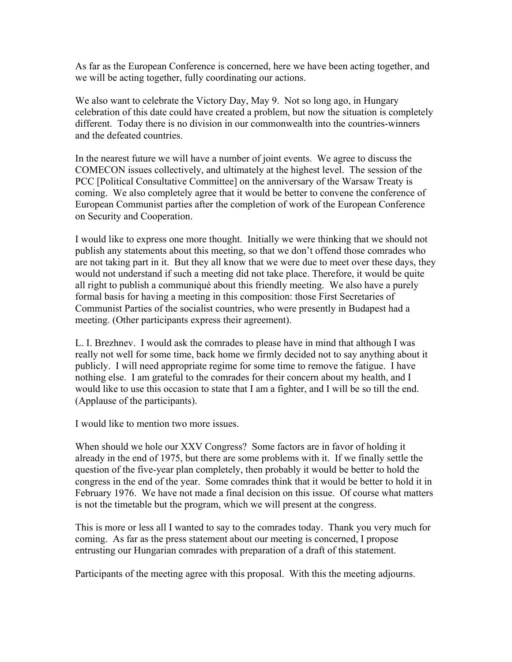As far as the European Conference is concerned, here we have been acting together, and we will be acting together, fully coordinating our actions.

We also want to celebrate the Victory Day, May 9. Not so long ago, in Hungary celebration of this date could have created a problem, but now the situation is completely different. Today there is no division in our commonwealth into the countries-winners and the defeated countries.

In the nearest future we will have a number of joint events. We agree to discuss the COMECON issues collectively, and ultimately at the highest level. The session of the PCC [Political Consultative Committee] on the anniversary of the Warsaw Treaty is coming. We also completely agree that it would be better to convene the conference of European Communist parties after the completion of work of the European Conference on Security and Cooperation.

I would like to express one more thought. Initially we were thinking that we should not publish any statements about this meeting, so that we don't offend those comrades who are not taking part in it. But they all know that we were due to meet over these days, they would not understand if such a meeting did not take place. Therefore, it would be quite all right to publish a communiqué about this friendly meeting. We also have a purely formal basis for having a meeting in this composition: those First Secretaries of Communist Parties of the socialist countries, who were presently in Budapest had a meeting. (Other participants express their agreement).

L. I. Brezhnev. I would ask the comrades to please have in mind that although I was really not well for some time, back home we firmly decided not to say anything about it publicly. I will need appropriate regime for some time to remove the fatigue. I have nothing else. I am grateful to the comrades for their concern about my health, and I would like to use this occasion to state that I am a fighter, and I will be so till the end. (Applause of the participants).

I would like to mention two more issues.

When should we hole our XXV Congress? Some factors are in favor of holding it already in the end of 1975, but there are some problems with it. If we finally settle the question of the five-year plan completely, then probably it would be better to hold the congress in the end of the year. Some comrades think that it would be better to hold it in February 1976. We have not made a final decision on this issue. Of course what matters is not the timetable but the program, which we will present at the congress.

This is more or less all I wanted to say to the comrades today. Thank you very much for coming. As far as the press statement about our meeting is concerned, I propose entrusting our Hungarian comrades with preparation of a draft of this statement.

Participants of the meeting agree with this proposal. With this the meeting adjourns.